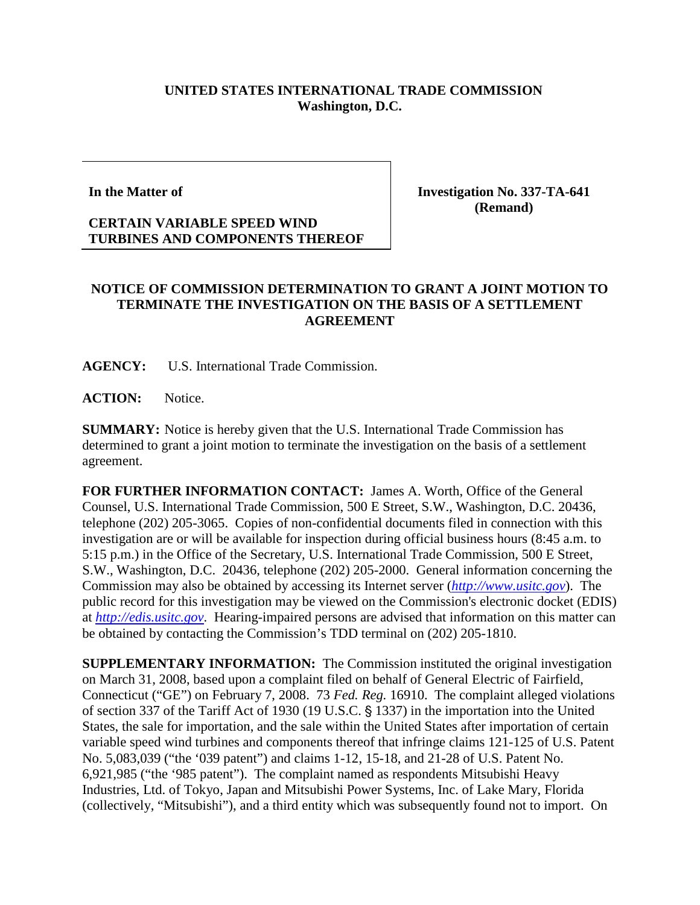## **UNITED STATES INTERNATIONAL TRADE COMMISSION Washington, D.C.**

## **In the Matter of**

## **CERTAIN VARIABLE SPEED WIND TURBINES AND COMPONENTS THEREOF**

**Investigation No. 337-TA-641 (Remand)**

## **NOTICE OF COMMISSION DETERMINATION TO GRANT A JOINT MOTION TO TERMINATE THE INVESTIGATION ON THE BASIS OF A SETTLEMENT AGREEMENT**

**AGENCY:** U.S. International Trade Commission.

**ACTION:** Notice.

**SUMMARY:** Notice is hereby given that the U.S. International Trade Commission has determined to grant a joint motion to terminate the investigation on the basis of a settlement agreement.

**FOR FURTHER INFORMATION CONTACT:** James A. Worth, Office of the General Counsel, U.S. International Trade Commission, 500 E Street, S.W., Washington, D.C. 20436, telephone (202) 205-3065. Copies of non-confidential documents filed in connection with this investigation are or will be available for inspection during official business hours (8:45 a.m. to 5:15 p.m.) in the Office of the Secretary, U.S. International Trade Commission, 500 E Street, S.W., Washington, D.C. 20436, telephone (202) 205-2000. General information concerning the Commission may also be obtained by accessing its Internet server (*[http://www.usitc.gov](http://www.usitc.gov/)*). The public record for this investigation may be viewed on the Commission's electronic docket (EDIS) at *[http://edis.usitc.gov](http://edis.usitc.gov/)*. Hearing-impaired persons are advised that information on this matter can be obtained by contacting the Commission's TDD terminal on (202) 205-1810.

**SUPPLEMENTARY INFORMATION:** The Commission instituted the original investigation on March 31, 2008, based upon a complaint filed on behalf of General Electric of Fairfield, Connecticut ("GE") on February 7, 2008. 73 *Fed. Reg.* 16910. The complaint alleged violations of section 337 of the Tariff Act of 1930 (19 U.S.C. § 1337) in the importation into the United States, the sale for importation, and the sale within the United States after importation of certain variable speed wind turbines and components thereof that infringe claims 121-125 of U.S. Patent No. 5,083,039 ("the '039 patent") and claims 1-12, 15-18, and 21-28 of U.S. Patent No. 6,921,985 ("the '985 patent"). The complaint named as respondents Mitsubishi Heavy Industries, Ltd. of Tokyo, Japan and Mitsubishi Power Systems, Inc. of Lake Mary, Florida (collectively, "Mitsubishi"), and a third entity which was subsequently found not to import. On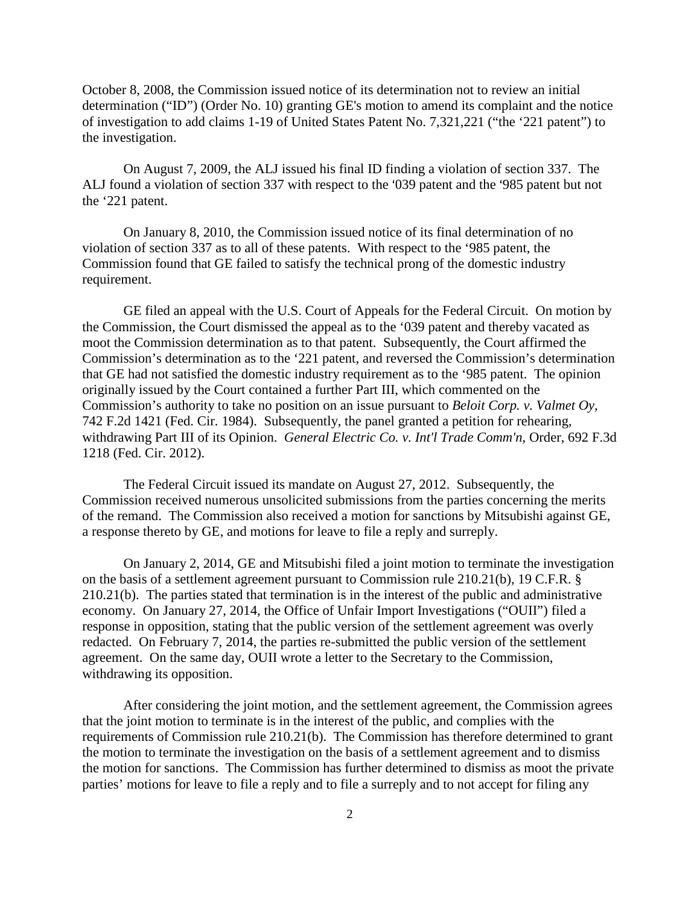October 8, 2008, the Commission issued notice of its determination not to review an initial determination ("ID") (Order No. 10) granting GE's motion to amend its complaint and the notice of investigation to add claims 1-19 of United States Patent No. 7,321,221 ("the '221 patent") to the investigation.

On August 7, 2009, the ALJ issued his final ID finding a violation of section 337. The ALJ found a violation of section 337 with respect to the '039 patent and the '985 patent but not the '221 patent.

On January 8, 2010, the Commission issued notice of its final determination of no violation of section 337 as to all of these patents. With respect to the '985 patent, the Commission found that GE failed to satisfy the technical prong of the domestic industry requirement.

GE filed an appeal with the U.S. Court of Appeals for the Federal Circuit. On motion by the Commission, the Court dismissed the appeal as to the '039 patent and thereby vacated as moot the Commission determination as to that patent. Subsequently, the Court affirmed the Commission's determination as to the '221 patent, and reversed the Commission's determination that GE had not satisfied the domestic industry requirement as to the '985 patent. The opinion originally issued by the Court contained a further Part III, which commented on the Commission's authority to take no position on an issue pursuant to *Beloit Corp. v. Valmet Oy*, 742 F.2d 1421 (Fed. Cir. 1984). Subsequently, the panel granted a petition for rehearing, withdrawing Part III of its Opinion. *General Electric Co. v. Int'l Trade Comm'n*, Order, 692 F.3d 1218 (Fed. Cir. 2012).

The Federal Circuit issued its mandate on August 27, 2012. Subsequently, the Commission received numerous unsolicited submissions from the parties concerning the merits of the remand. The Commission also received a motion for sanctions by Mitsubishi against GE, a response thereto by GE, and motions for leave to file a reply and surreply.

On January 2, 2014, GE and Mitsubishi filed a joint motion to terminate the investigation on the basis of a settlement agreement pursuant to Commission rule 210.21(b), 19 C.F.R. § 210.21(b). The parties stated that termination is in the interest of the public and administrative economy. On January 27, 2014, the Office of Unfair Import Investigations ("OUII") filed a response in opposition, stating that the public version of the settlement agreement was overly redacted. On February 7, 2014, the parties re-submitted the public version of the settlement agreement. On the same day, OUII wrote a letter to the Secretary to the Commission, withdrawing its opposition.

After considering the joint motion, and the settlement agreement, the Commission agrees that the joint motion to terminate is in the interest of the public, and complies with the requirements of Commission rule 210.21(b). The Commission has therefore determined to grant the motion to terminate the investigation on the basis of a settlement agreement and to dismiss the motion for sanctions. The Commission has further determined to dismiss as moot the private parties' motions for leave to file a reply and to file a surreply and to not accept for filing any